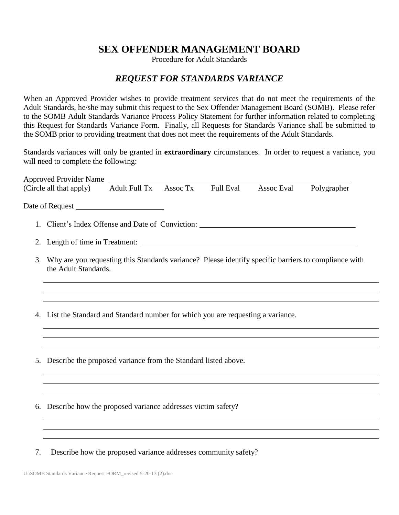## **SEX OFFENDER MANAGEMENT BOARD**

Procedure for Adult Standards

## *REQUEST FOR STANDARDS VARIANCE*

When an Approved Provider wishes to provide treatment services that do not meet the requirements of the Adult Standards, he/she may submit this request to the Sex Offender Management Board (SOMB). Please refer to the SOMB Adult Standards Variance Process Policy Statement for further information related to completing this Request for Standards Variance Form. Finally, all Requests for Standards Variance shall be submitted to the SOMB prior to providing treatment that does not meet the requirements of the Adult Standards.

Standards variances will only be granted in **extraordinary** circumstances. In order to request a variance, you will need to complete the following:

| (Circle all that apply)                                                                                                            | <b>Adult Full Tx</b> | Assoc Tx | <b>Full Eval</b> | Assoc Eval | Polygrapher |
|------------------------------------------------------------------------------------------------------------------------------------|----------------------|----------|------------------|------------|-------------|
|                                                                                                                                    |                      |          |                  |            |             |
| 1. Client's Index Offense and Date of Conviction:                                                                                  |                      |          |                  |            |             |
|                                                                                                                                    |                      |          |                  |            |             |
| Why are you requesting this Standards variance? Please identify specific barriers to compliance with<br>3.<br>the Adult Standards. |                      |          |                  |            |             |
| 4. List the Standard and Standard number for which you are requesting a variance.                                                  |                      |          |                  |            |             |
|                                                                                                                                    |                      |          |                  |            |             |
| 5. Describe the proposed variance from the Standard listed above.                                                                  |                      |          |                  |            |             |
|                                                                                                                                    |                      |          |                  |            |             |
| Describe how the proposed variance addresses victim safety?<br>6.                                                                  |                      |          |                  |            |             |
|                                                                                                                                    |                      |          |                  |            |             |

7. Describe how the proposed variance addresses community safety?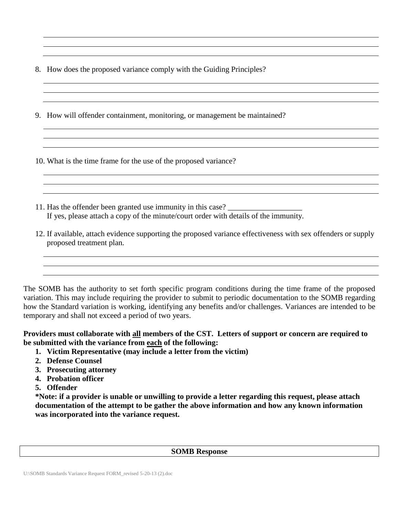- 8. How does the proposed variance comply with the Guiding Principles?
- 9. How will offender containment, monitoring, or management be maintained?

10. What is the time frame for the use of the proposed variance?

- 11. Has the offender been granted use immunity in this case? \_\_\_\_\_\_\_\_\_\_\_\_\_\_\_\_\_\_\_ If yes, please attach a copy of the minute/court order with details of the immunity.
- 12. If available, attach evidence supporting the proposed variance effectiveness with sex offenders or supply proposed treatment plan.

The SOMB has the authority to set forth specific program conditions during the time frame of the proposed variation. This may include requiring the provider to submit to periodic documentation to the SOMB regarding how the Standard variation is working, identifying any benefits and/or challenges. Variances are intended to be temporary and shall not exceed a period of two years.

## **Providers must collaborate with all members of the CST. Letters of support or concern are required to be submitted with the variance from each of the following:**

- **1. Victim Representative (may include a letter from the victim)**
- **2. Defense Counsel**
- **3. Prosecuting attorney**
- **4. Probation officer**
- **5. Offender**

**\*Note: if a provider is unable or unwilling to provide a letter regarding this request, please attach documentation of the attempt to be gather the above information and how any known information was incorporated into the variance request.** 

## **SOMB Response**